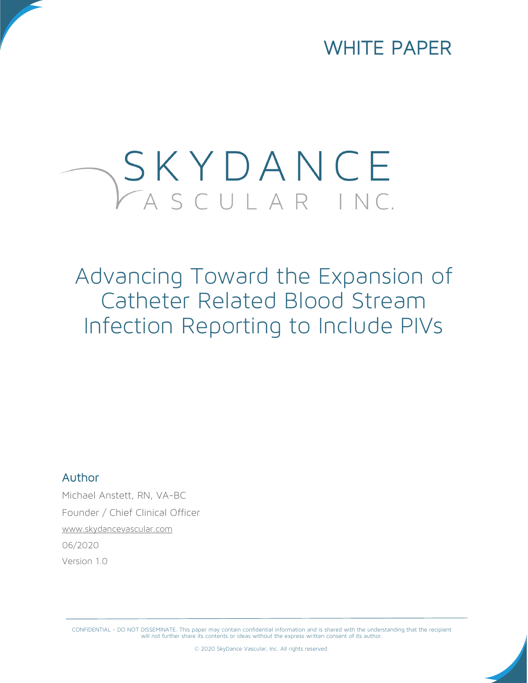WHITE PAPER

# SKYDANCE

Advancing Toward the Expansion of Catheter Related Blood Stream Infection Reporting to Include PIVs

#### Author

Michael Anstett, RN, VA-BC Founder / Chief Clinical Officer [www.skydancevascular.com](http://www.skydancevascular.com/) 06/2020 Version 1.0

CONFIDENTIAL - DO NOT DISSEMINATE. This paper may contain confidential information and is shared with the understanding that the recipient<br>will not further share its contents or ideas without the express written consent of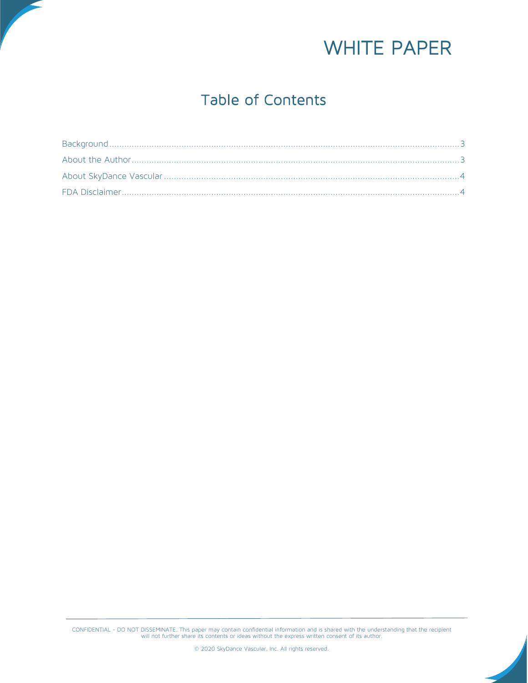

### Table of Contents

CONFIDENTIAL - DO NOT DISSEMINATE. This paper may contain confidential information and is shared with the understanding that the recipient<br>will not further share its contents or ideas without the express written consent of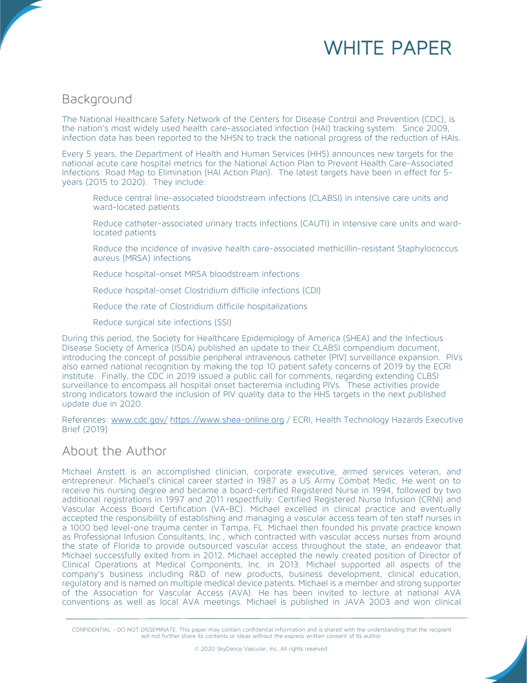## WHITE PAPER

#### <span id="page-2-0"></span>Background

The National Healthcare Safety Network of the Centers for Disease Control and Prevention (CDC), is the nation's most widely used health care-associated infection (HAI) tracking system. Since 2009, infection data has been reported to the NHSN to track the national progress of the reduction of HAIs.

Every 5 years, the Department of Health and Human Services (HHS) announces new targets for the national acute care hospital metrics for the National Action Plan to Prevent Health Care-Associated Infections: Road Map to Elimination (HAI Action Plan). The latest targets have been in effect for 5 years (2015 to 2020). They include:

- Reduce central line-associated bloodstream infections (CLABSI) in intensive care units and ward-located patients
- Reduce catheter-associated urinary tracts infections (CAUTI) in intensive care units and wardlocated patients
- Reduce the incidence of invasive health care-associated methicillin-resistant Staphylococcus aureus (MRSA) infections
- Reduce hospital-onset MRSA bloodstream infections
- Reduce hospital-onset Clostridium difficile infections (CDI)
- Reduce the rate of Clostridium difficile hospitalizations
- Reduce surgical site infections (SSI)

During this period, the Society for Healthcare Epidemiology of America (SHEA) and the Infectious Disease Society of America (ISDA) published an update to their CLABSI compendium document, introducing the concept of possible peripheral intravenous catheter (PIV) surveillance expansion. PIVs also earned national recognition by making the top 10 patient safety concerns of 2019 by the ECRI institute. Finally, the CDC in 2019 issued a public call for comments, regarding extending CLBSI surveillance to encompass all hospital onset bacteremia including PIVs. These activities provide strong indicators toward the inclusion of PIV quality data to the HHS targets in the next published update due in 2020.

References: [www.cdc.gov/](http://www.cdc.gov/) [https://www.shea-online.org](https://www.shea-online.org/) / ECRI, Health Technology Hazards Executive Brief (2019)

#### <span id="page-2-1"></span>About the Author

Michael Anstett is an accomplished clinician, corporate executive, armed services veteran, and entrepreneur. Michael's clinical career started in 1987 as a US Army Combat Medic. He went on to receive his nursing degree and became a board-certified Registered Nurse in 1994, followed by two additional registrations in 1997 and 2011 respectfully: Certified Registered Nurse Infusion (CRNI) and Vascular Access Board Certification (VA-BC). Michael excelled in clinical practice and eventually accepted the responsibility of establishing and managing a vascular access team of ten staff nurses in a 1000 bed level-one trauma center in Tampa, FL. Michael then founded his private practice known as Professional Infusion Consultants, Inc., which contracted with vascular access nurses from around the state of Florida to provide outsourced vascular access throughout the state, an endeavor that Michael successfully exited from in 2012. Michael accepted the newly created position of Director of Clinical Operations at Medical Components, Inc. in 2013. Michael supported all aspects of the company's business including R&D of new products, business development, clinical education, regulatory and is named on multiple medical device patents. Michael is a member and strong supporter of the Association for Vascular Access (AVA). He has been invited to lecture at national AVA conventions as well as local AVA meetings. Michael is published in JAVA 2003 and won clinical

CONFIDENTIAL - DO NOT DISSEMINATE. This paper may contain confidential information and is shared with the understanding that the recipient<br>will not further share its contents or ideas without the express written consent of